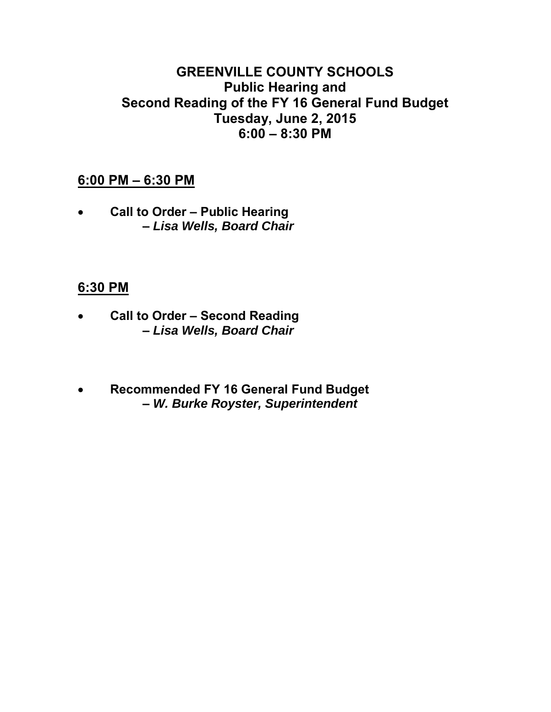# **GREENVILLE COUNTY SCHOOLS Public Hearing and Second Reading of the FY 16 General Fund Budget Tuesday, June 2, 2015 6:00 – 8:30 PM**

# **6:00 PM – 6:30 PM**

• **Call to Order – Public Hearing –** *Lisa Wells, Board Chair*

# **6:30 PM**

- **Call to Order Second Reading –** *Lisa Wells, Board Chair*
- **Recommended FY 16 General Fund Budget –** *W. Burke Royster, Superintendent*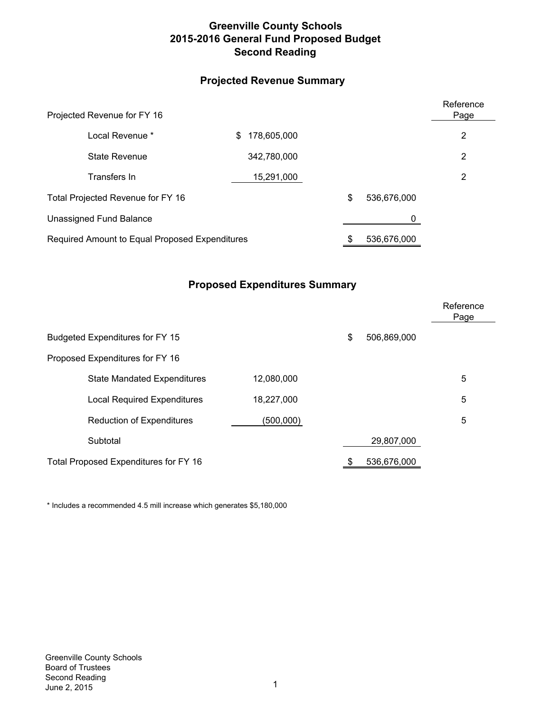# **Greenville County Schools 2015-2016 General Fund Proposed Budget Second Reading**

# **Projected Revenue Summary**

| Projected Revenue for FY 16                    |                   |  |             |   |  |  |  |
|------------------------------------------------|-------------------|--|-------------|---|--|--|--|
| Local Revenue *                                | 178,605,000<br>\$ |  |             | 2 |  |  |  |
| State Revenue                                  | 342,780,000       |  |             | 2 |  |  |  |
| Transfers In                                   | 15,291,000        |  |             | 2 |  |  |  |
| Total Projected Revenue for FY 16              |                   |  | 536,676,000 |   |  |  |  |
| Unassigned Fund Balance                        |                   |  | 0           |   |  |  |  |
| Required Amount to Equal Proposed Expenditures |                   |  | 536,676,000 |   |  |  |  |

# **Proposed Expenditures Summary**

|                                       |                                    |            |             |             | Reference<br>Page |
|---------------------------------------|------------------------------------|------------|-------------|-------------|-------------------|
|                                       | Budgeted Expenditures for FY 15    | \$         | 506,869,000 |             |                   |
| Proposed Expenditures for FY 16       |                                    |            |             |             |                   |
|                                       | <b>State Mandated Expenditures</b> | 12,080,000 |             |             | 5                 |
|                                       | <b>Local Required Expenditures</b> | 18,227,000 |             |             | 5                 |
|                                       | <b>Reduction of Expenditures</b>   | (500,000)  |             |             | 5                 |
|                                       | Subtotal                           |            |             | 29,807,000  |                   |
| Total Proposed Expenditures for FY 16 |                                    |            |             | 536,676,000 |                   |

\* Includes a recommended 4.5 mill increase which generates \$5,180,000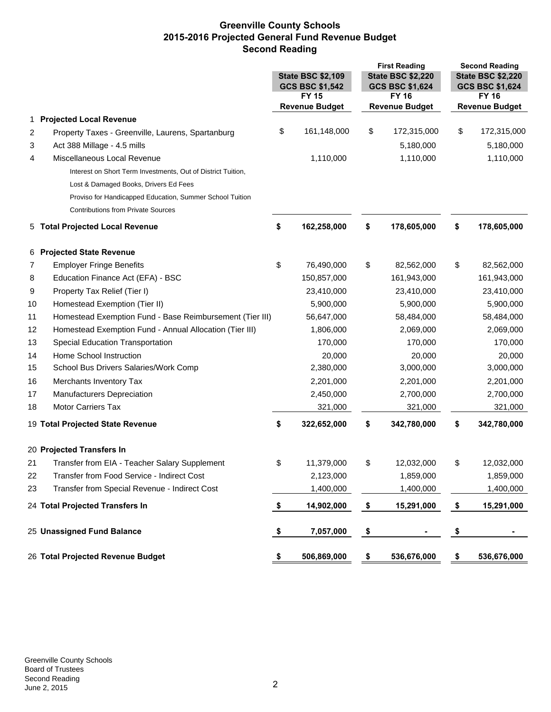# **Greenville County Schools 2015-2016 Projected General Fund Revenue Budget Second Reading**

|    |                                                              |                                                                                                          |                                       | <b>First Reading</b>                  |                                             | <b>Second Reading</b>                 |             |
|----|--------------------------------------------------------------|----------------------------------------------------------------------------------------------------------|---------------------------------------|---------------------------------------|---------------------------------------------|---------------------------------------|-------------|
|    |                                                              | <b>State BSC \$2,220</b><br><b>State BSC \$2,109</b><br><b>GCS BSC \$1,542</b><br><b>GCS BSC \$1,624</b> |                                       |                                       | <b>State BSC \$2,220</b><br>GCS BSC \$1,624 |                                       |             |
|    |                                                              |                                                                                                          |                                       |                                       |                                             |                                       |             |
|    |                                                              |                                                                                                          | <b>FY 15</b><br><b>Revenue Budget</b> | <b>FY 16</b><br><b>Revenue Budget</b> |                                             | <b>FY 16</b><br><b>Revenue Budget</b> |             |
| 1  | <b>Projected Local Revenue</b>                               |                                                                                                          |                                       |                                       |                                             |                                       |             |
| 2  | Property Taxes - Greenville, Laurens, Spartanburg            | \$                                                                                                       | 161,148,000                           | \$                                    | 172,315,000                                 | \$                                    | 172,315,000 |
| 3  | Act 388 Millage - 4.5 mills                                  |                                                                                                          |                                       |                                       | 5,180,000                                   |                                       | 5,180,000   |
| 4  | Miscellaneous Local Revenue                                  |                                                                                                          | 1,110,000                             |                                       | 1,110,000                                   |                                       | 1,110,000   |
|    | Interest on Short Term Investments, Out of District Tuition, |                                                                                                          |                                       |                                       |                                             |                                       |             |
|    | Lost & Damaged Books, Drivers Ed Fees                        |                                                                                                          |                                       |                                       |                                             |                                       |             |
|    | Proviso for Handicapped Education, Summer School Tuition     |                                                                                                          |                                       |                                       |                                             |                                       |             |
|    | <b>Contributions from Private Sources</b>                    |                                                                                                          |                                       |                                       |                                             |                                       |             |
|    | 5 Total Projected Local Revenue                              | \$                                                                                                       | 162,258,000                           | \$                                    | 178,605,000                                 | \$                                    | 178,605,000 |
|    |                                                              |                                                                                                          |                                       |                                       |                                             |                                       |             |
|    | 6 Projected State Revenue                                    |                                                                                                          |                                       |                                       |                                             |                                       |             |
| 7  | <b>Employer Fringe Benefits</b>                              | \$                                                                                                       | 76,490,000                            | \$                                    | 82,562,000                                  | \$                                    | 82,562,000  |
| 8  | Education Finance Act (EFA) - BSC                            |                                                                                                          | 150,857,000                           |                                       | 161,943,000                                 |                                       | 161,943,000 |
| 9  | Property Tax Relief (Tier I)                                 |                                                                                                          | 23,410,000                            |                                       | 23,410,000                                  |                                       | 23,410,000  |
| 10 | Homestead Exemption (Tier II)                                |                                                                                                          | 5,900,000                             |                                       | 5,900,000                                   |                                       | 5,900,000   |
| 11 | Homestead Exemption Fund - Base Reimbursement (Tier III)     |                                                                                                          | 56,647,000                            |                                       | 58,484,000                                  |                                       | 58,484,000  |
| 12 | Homestead Exemption Fund - Annual Allocation (Tier III)      |                                                                                                          | 1,806,000                             |                                       | 2,069,000                                   |                                       | 2,069,000   |
| 13 | Special Education Transportation                             |                                                                                                          | 170,000                               |                                       | 170,000                                     |                                       | 170,000     |
| 14 | Home School Instruction                                      |                                                                                                          | 20,000                                |                                       | 20,000                                      |                                       | 20,000      |
| 15 | School Bus Drivers Salaries/Work Comp                        |                                                                                                          | 2,380,000                             |                                       | 3,000,000                                   |                                       | 3,000,000   |
| 16 | Merchants Inventory Tax                                      |                                                                                                          | 2,201,000                             |                                       | 2,201,000                                   |                                       | 2,201,000   |
| 17 | Manufacturers Depreciation                                   |                                                                                                          | 2,450,000                             |                                       | 2,700,000                                   |                                       | 2,700,000   |
| 18 | <b>Motor Carriers Tax</b>                                    |                                                                                                          | 321,000                               |                                       | 321,000                                     |                                       | 321,000     |
|    | 19 Total Projected State Revenue                             | \$                                                                                                       | 322,652,000                           | \$                                    | 342,780,000                                 | \$                                    | 342,780,000 |
|    | 20 Projected Transfers In                                    |                                                                                                          |                                       |                                       |                                             |                                       |             |
| 21 | Transfer from EIA - Teacher Salary Supplement                | \$                                                                                                       | 11,379,000                            | \$                                    | 12,032,000                                  | \$                                    | 12,032,000  |
| 22 | Transfer from Food Service - Indirect Cost                   |                                                                                                          | 2,123,000                             |                                       | 1,859,000                                   |                                       | 1,859,000   |
| 23 | Transfer from Special Revenue - Indirect Cost                |                                                                                                          | 1,400,000                             |                                       | 1,400,000                                   |                                       | 1,400,000   |
|    | 24 Total Projected Transfers In                              | \$                                                                                                       | 14,902,000                            | \$                                    | 15,291,000                                  | \$                                    | 15,291,000  |
|    |                                                              |                                                                                                          |                                       |                                       |                                             |                                       |             |
|    | 25 Unassigned Fund Balance                                   | \$                                                                                                       | 7,057,000                             | \$                                    |                                             | \$                                    |             |
|    | 26 Total Projected Revenue Budget                            | \$                                                                                                       | 506,869,000                           | \$                                    | 536,676,000                                 | \$                                    | 536,676,000 |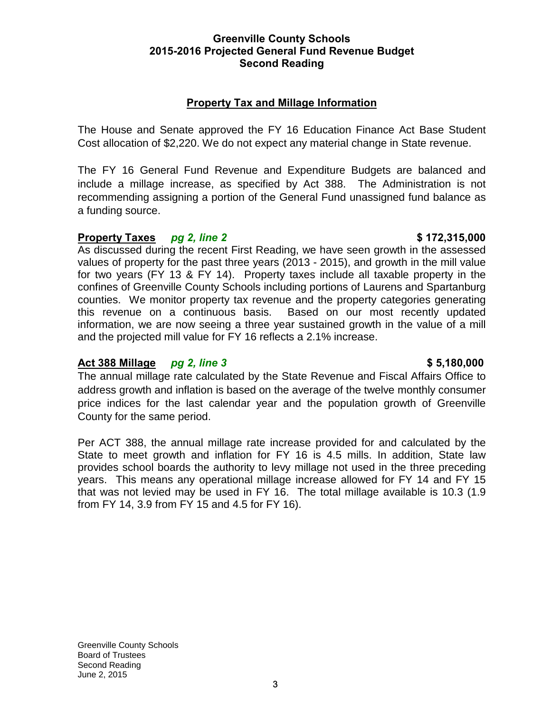### **Greenville County Schools 2015-2016 Projected General Fund Revenue Budget Second Reading**

# **Property Tax and Millage Information**

The House and Senate approved the FY 16 Education Finance Act Base Student Cost allocation of \$2,220. We do not expect any material change in State revenue.

The FY 16 General Fund Revenue and Expenditure Budgets are balanced and include a millage increase, as specified by Act 388. The Administration is not recommending assigning a portion of the General Fund unassigned fund balance as a funding source.

# **Property Taxes** *pg 2, line 2* **\$ 172,315,000**

As discussed during the recent First Reading, we have seen growth in the assessed values of property for the past three years (2013 - 2015), and growth in the mill value for two years (FY 13 & FY 14). Property taxes include all taxable property in the confines of Greenville County Schools including portions of Laurens and Spartanburg counties. We monitor property tax revenue and the property categories generating this revenue on a continuous basis. Based on our most recently updated information, we are now seeing a three year sustained growth in the value of a mill and the projected mill value for FY 16 reflects a 2.1% increase.

# **Act 388 Millage** *pg 2, line 3* **\$ 5,180,000**

# The annual millage rate calculated by the State Revenue and Fiscal Affairs Office to address growth and inflation is based on the average of the twelve monthly consumer price indices for the last calendar year and the population growth of Greenville County for the same period.

Per ACT 388, the annual millage rate increase provided for and calculated by the State to meet growth and inflation for FY 16 is 4.5 mills. In addition, State law provides school boards the authority to levy millage not used in the three preceding years. This means any operational millage increase allowed for FY 14 and FY 15 that was not levied may be used in FY 16. The total millage available is 10.3 (1.9 from FY 14, 3.9 from FY 15 and 4.5 for FY 16).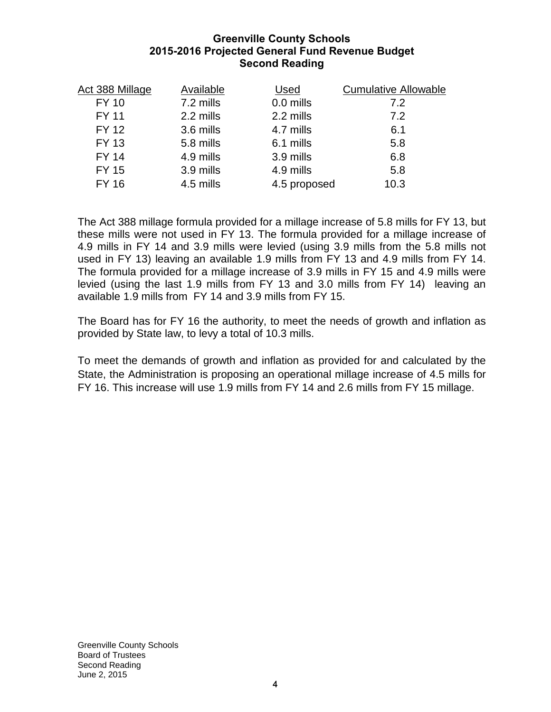# **Greenville County Schools 2015-2016 Projected General Fund Revenue Budget Second Reading**

| Act 388 Millage | Available | Used         | <b>Cumulative Allowable</b> |
|-----------------|-----------|--------------|-----------------------------|
| <b>FY 10</b>    | 7.2 mills | 0.0 mills    | 7.2                         |
| <b>FY 11</b>    | 2.2 mills | 2.2 mills    | 7.2                         |
| <b>FY 12</b>    | 3.6 mills | 4.7 mills    | 6.1                         |
| <b>FY 13</b>    | 5.8 mills | 6.1 mills    | 5.8                         |
| <b>FY 14</b>    | 4.9 mills | 3.9 mills    | 6.8                         |
| <b>FY 15</b>    | 3.9 mills | 4.9 mills    | 5.8                         |
| <b>FY 16</b>    | 4.5 mills | 4.5 proposed | 10.3                        |
|                 |           |              |                             |

The Act 388 millage formula provided for a millage increase of 5.8 mills for FY 13, but these mills were not used in FY 13. The formula provided for a millage increase of 4.9 mills in FY 14 and 3.9 mills were levied (using 3.9 mills from the 5.8 mills not used in FY 13) leaving an available 1.9 mills from FY 13 and 4.9 mills from FY 14. The formula provided for a millage increase of 3.9 mills in FY 15 and 4.9 mills were levied (using the last 1.9 mills from FY 13 and 3.0 mills from FY 14) leaving an available 1.9 mills from FY 14 and 3.9 mills from FY 15.

The Board has for FY 16 the authority, to meet the needs of growth and inflation as provided by State law, to levy a total of 10.3 mills.

To meet the demands of growth and inflation as provided for and calculated by the State, the Administration is proposing an operational millage increase of 4.5 mills for FY 16. This increase will use 1.9 mills from FY 14 and 2.6 mills from FY 15 millage.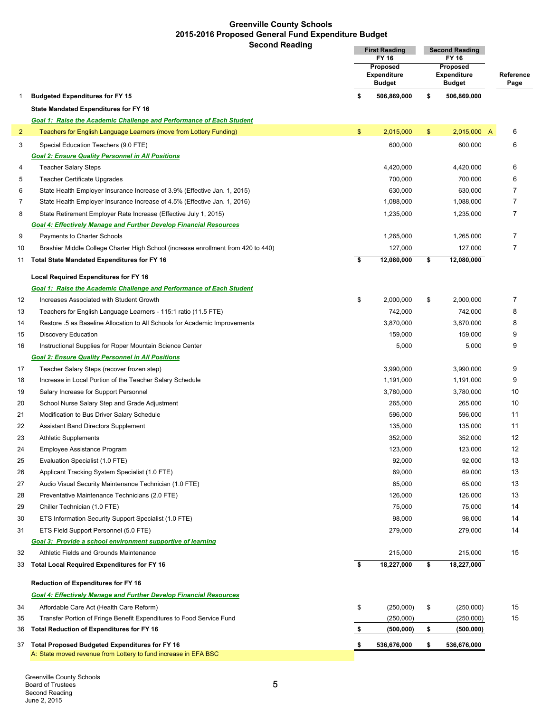# **Greenville County Schools 2015-2016 Proposed General Fund Expenditure Budget**

|                | <b>Second Reading</b>                                                                                                                         | <b>First Reading</b><br>FY 16<br>Proposed<br><b>Expenditure</b><br><b>Budget</b> |             |                                                 | <b>Second Reading</b><br>FY 16 |                   |  |
|----------------|-----------------------------------------------------------------------------------------------------------------------------------------------|----------------------------------------------------------------------------------|-------------|-------------------------------------------------|--------------------------------|-------------------|--|
|                |                                                                                                                                               |                                                                                  |             | Proposed<br><b>Expenditure</b><br><b>Budget</b> |                                | Reference<br>Page |  |
| 1              | <b>Budgeted Expenditures for FY 15</b>                                                                                                        | \$                                                                               | 506,869,000 | \$                                              | 506,869,000                    |                   |  |
|                | <b>State Mandated Expenditures for FY 16</b>                                                                                                  |                                                                                  |             |                                                 |                                |                   |  |
|                | Goal 1: Raise the Academic Challenge and Performance of Each Student                                                                          |                                                                                  |             |                                                 |                                |                   |  |
| $\overline{2}$ | Teachers for English Language Learners (move from Lottery Funding)                                                                            | \$                                                                               | 2,015,000   | $\frac{1}{2}$                                   | 2,015,000 A                    | 6                 |  |
| 3              | Special Education Teachers (9.0 FTE)                                                                                                          |                                                                                  | 600,000     |                                                 | 600,000                        | 6                 |  |
|                | <b>Goal 2: Ensure Quality Personnel in All Positions</b>                                                                                      |                                                                                  |             |                                                 |                                |                   |  |
| 4              | <b>Teacher Salary Steps</b>                                                                                                                   |                                                                                  | 4,420,000   |                                                 | 4,420,000                      | 6                 |  |
| 5              | <b>Teacher Certificate Upgrades</b>                                                                                                           |                                                                                  | 700,000     |                                                 | 700,000                        | 6                 |  |
| 6              | State Health Employer Insurance Increase of 3.9% (Effective Jan. 1, 2015)                                                                     |                                                                                  | 630,000     |                                                 | 630,000                        | 7                 |  |
| $\overline{7}$ | State Health Employer Insurance Increase of 4.5% (Effective Jan. 1, 2016)                                                                     |                                                                                  | 1,088,000   |                                                 | 1,088,000                      | $\overline{7}$    |  |
| 8              | State Retirement Employer Rate Increase (Effective July 1, 2015)                                                                              |                                                                                  | 1,235,000   |                                                 | 1,235,000                      | $\overline{7}$    |  |
|                | <b>Goal 4: Effectively Manage and Further Develop Financial Resources</b>                                                                     |                                                                                  |             |                                                 |                                |                   |  |
| 9              | Payments to Charter Schools                                                                                                                   |                                                                                  | 1,265,000   |                                                 | 1,265,000                      | $\overline{7}$    |  |
| 10             | Brashier Middle College Charter High School (increase enrollment from 420 to 440)                                                             |                                                                                  | 127,000     |                                                 | 127,000                        | $\overline{7}$    |  |
| 11             | Total State Mandated Expenditures for FY 16                                                                                                   | \$                                                                               | 12,080,000  | \$                                              | 12,080,000                     |                   |  |
|                |                                                                                                                                               |                                                                                  |             |                                                 |                                |                   |  |
|                | <b>Local Required Expenditures for FY 16</b>                                                                                                  |                                                                                  |             |                                                 |                                |                   |  |
| 12             | Goal 1: Raise the Academic Challenge and Performance of Each Student<br>Increases Associated with Student Growth                              | \$                                                                               | 2,000,000   | \$                                              | 2,000,000                      | $\overline{7}$    |  |
| 13             |                                                                                                                                               |                                                                                  | 742,000     |                                                 | 742,000                        | 8                 |  |
| 14             | Teachers for English Language Learners - 115:1 ratio (11.5 FTE)<br>Restore .5 as Baseline Allocation to All Schools for Academic Improvements |                                                                                  | 3,870,000   |                                                 | 3,870,000                      | 8                 |  |
| 15             | <b>Discovery Education</b>                                                                                                                    |                                                                                  | 159,000     |                                                 | 159,000                        | 9                 |  |
| 16             | Instructional Supplies for Roper Mountain Science Center                                                                                      |                                                                                  | 5,000       |                                                 | 5,000                          | 9                 |  |
|                | <b>Goal 2: Ensure Quality Personnel in All Positions</b>                                                                                      |                                                                                  |             |                                                 |                                |                   |  |
| 17             | Teacher Salary Steps (recover frozen step)                                                                                                    |                                                                                  | 3,990,000   |                                                 | 3,990,000                      | 9                 |  |
| 18             | Increase in Local Portion of the Teacher Salary Schedule                                                                                      |                                                                                  | 1,191,000   |                                                 | 1,191,000                      | 9                 |  |
| 19             | Salary Increase for Support Personnel                                                                                                         |                                                                                  | 3,780,000   |                                                 | 3,780,000                      | 10                |  |
| 20             | School Nurse Salary Step and Grade Adjustment                                                                                                 |                                                                                  | 265,000     |                                                 | 265,000                        | 10                |  |
| 21             | Modification to Bus Driver Salary Schedule                                                                                                    |                                                                                  | 596,000     |                                                 | 596,000                        | 11                |  |
| 22             | <b>Assistant Band Directors Supplement</b>                                                                                                    |                                                                                  | 135,000     |                                                 | 135,000                        | 11                |  |
| 23             | <b>Athletic Supplements</b>                                                                                                                   |                                                                                  | 352,000     |                                                 | 352,000                        | 12                |  |
| 24             | Employee Assistance Program                                                                                                                   |                                                                                  | 123,000     |                                                 | 123,000                        | 12                |  |
| 25             | Evaluation Specialist (1.0 FTE)                                                                                                               |                                                                                  | 92,000      |                                                 | 92,000                         | 13                |  |
| 26             | Applicant Tracking System Specialist (1.0 FTE)                                                                                                |                                                                                  | 69,000      |                                                 | 69,000                         | 13                |  |
| 27             | Audio Visual Security Maintenance Technician (1.0 FTE)                                                                                        |                                                                                  | 65,000      |                                                 | 65,000                         | 13                |  |
| 28             | Preventative Maintenance Technicians (2.0 FTE)                                                                                                |                                                                                  | 126,000     |                                                 | 126,000                        | 13                |  |
| 29             | Chiller Technician (1.0 FTE)                                                                                                                  |                                                                                  | 75,000      |                                                 | 75,000                         | 14                |  |
| 30             | ETS Information Security Support Specialist (1.0 FTE)                                                                                         |                                                                                  | 98,000      |                                                 | 98,000                         | 14                |  |
| 31             | ETS Field Support Personnel (5.0 FTE)                                                                                                         |                                                                                  | 279,000     |                                                 | 279,000                        | 14                |  |
|                | Goal 3: Provide a school environment supportive of learning                                                                                   |                                                                                  |             |                                                 |                                |                   |  |
| 32             | Athletic Fields and Grounds Maintenance                                                                                                       |                                                                                  | 215,000     |                                                 | 215,000                        | 15                |  |
| 33             | Total Local Required Expenditures for FY 16                                                                                                   | \$                                                                               | 18,227,000  | \$                                              | 18,227,000                     |                   |  |
|                |                                                                                                                                               |                                                                                  |             |                                                 |                                |                   |  |
|                | <b>Reduction of Expenditures for FY 16</b>                                                                                                    |                                                                                  |             |                                                 |                                |                   |  |
|                | <b>Goal 4: Effectively Manage and Further Develop Financial Resources</b>                                                                     |                                                                                  |             |                                                 |                                |                   |  |
| 34             | Affordable Care Act (Health Care Reform)                                                                                                      | \$                                                                               | (250,000)   | \$                                              | (250,000)                      | 15                |  |
| 35             | Transfer Portion of Fringe Benefit Expenditures to Food Service Fund                                                                          |                                                                                  | (250,000)   |                                                 | (250,000)                      | 15                |  |
| 36             | Total Reduction of Expenditures for FY 16                                                                                                     | \$                                                                               | (500, 000)  | \$                                              | (500, 000)                     |                   |  |
| 37             | Total Proposed Budgeted Expenditures for FY 16                                                                                                | \$                                                                               | 536,676,000 | \$                                              | 536,676,000                    |                   |  |
|                | A: State moved revenue from Lottery to fund increase in EFA BSC                                                                               |                                                                                  |             |                                                 |                                |                   |  |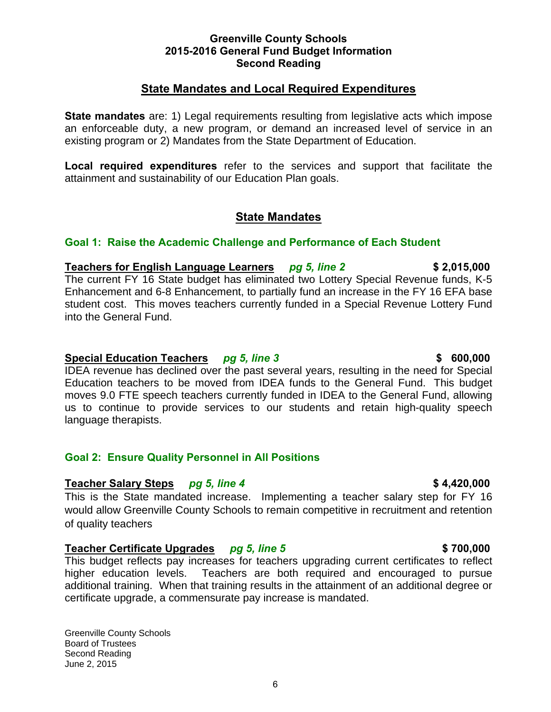# **State Mandates and Local Required Expenditures**

**State mandates** are: 1) Legal requirements resulting from legislative acts which impose an enforceable duty, a new program, or demand an increased level of service in an existing program or 2) Mandates from the State Department of Education.

**Local required expenditures** refer to the services and support that facilitate the attainment and sustainability of our Education Plan goals.

# **State Mandates**

# **Goal 1: Raise the Academic Challenge and Performance of Each Student**

**Teachers for English Language Learners** *pg 5, line 2* **\$ 2,015,000**  The current FY 16 State budget has eliminated two Lottery Special Revenue funds, K-5 Enhancement and 6-8 Enhancement, to partially fund an increase in the FY 16 EFA base student cost. This moves teachers currently funded in a Special Revenue Lottery Fund into the General Fund.

### **Special Education Teachers** *pg 5, line 3* **600,000 \$ 600,000**

IDEA revenue has declined over the past several years, resulting in the need for Special Education teachers to be moved from IDEA funds to the General Fund. This budget moves 9.0 FTE speech teachers currently funded in IDEA to the General Fund, allowing us to continue to provide services to our students and retain high-quality speech language therapists.

# **Goal 2: Ensure Quality Personnel in All Positions**

# **Teacher Salary Steps** *pg 5, line 4* **\$ 4,420,000**

This is the State mandated increase. Implementing a teacher salary step for FY 16 would allow Greenville County Schools to remain competitive in recruitment and retention of quality teachers

# **Teacher Certificate Upgrades** *pg 5, line 5* **\$ 700,000**

This budget reflects pay increases for teachers upgrading current certificates to reflect higher education levels. Teachers are both required and encouraged to pursue additional training. When that training results in the attainment of an additional degree or certificate upgrade, a commensurate pay increase is mandated.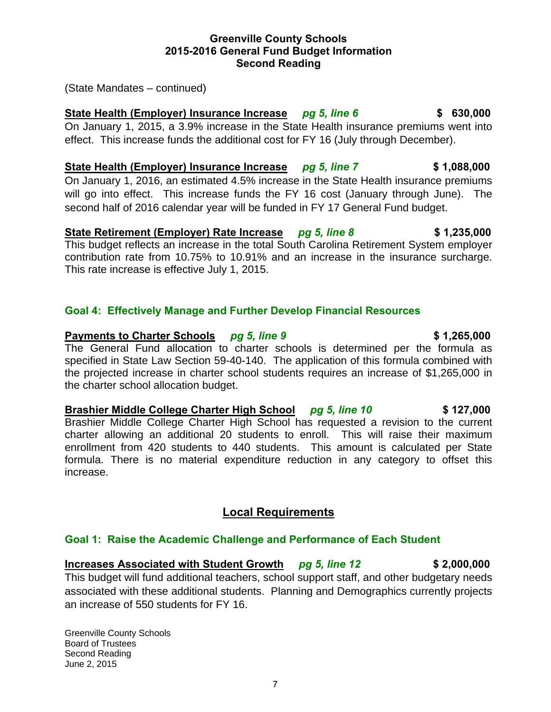# 7

**Greenville County Schools 2015-2016 General Fund Budget Information Second Reading** 

(State Mandates – continued)

**State Health (Employer) Insurance Increase** *pg 5, line 6* **\$ 630,000**  On January 1, 2015, a 3.9% increase in the State Health insurance premiums went into effect. This increase funds the additional cost for FY 16 (July through December).

**State Health (Employer) Insurance Increase** *pg 5, line 7* **\$ 1,088,000** On January 1, 2016, an estimated 4.5% increase in the State Health insurance premiums will go into effect. This increase funds the FY 16 cost (January through June). The second half of 2016 calendar year will be funded in FY 17 General Fund budget.

**State Retirement (Employer) Rate Increase** *pg 5, line 8* **\$ 1,235,000**  This budget reflects an increase in the total South Carolina Retirement System employer contribution rate from 10.75% to 10.91% and an increase in the insurance surcharge. This rate increase is effective July 1, 2015.

# **Goal 4: Effectively Manage and Further Develop Financial Resources**

# **Payments to Charter Schools** *pg 5, line 9* **\$1,265,000**

The General Fund allocation to charter schools is determined per the formula as specified in State Law Section 59-40-140. The application of this formula combined with the projected increase in charter school students requires an increase of \$1,265,000 in the charter school allocation budget.

**Brashier Middle College Charter High School** *pg 5, line 10* **\$ 127,000**  Brashier Middle College Charter High School has requested a revision to the current charter allowing an additional 20 students to enroll. This will raise their maximum enrollment from 420 students to 440 students. This amount is calculated per State formula. There is no material expenditure reduction in any category to offset this increase.

# **Local Requirements**

# **Goal 1: Raise the Academic Challenge and Performance of Each Student**

**Increases Associated with Student Growth** *pg 5, line 12* **\$ 2,000,000**  This budget will fund additional teachers, school support staff, and other budgetary needs associated with these additional students. Planning and Demographics currently projects an increase of 550 students for FY 16.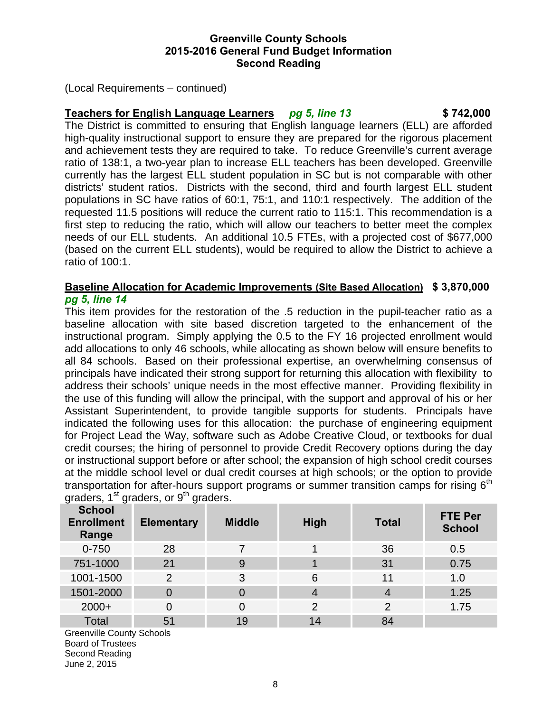(Local Requirements – continued)

# **Teachers for English Language Learners** *pg 5, line 13* **\$ 742,000**

The District is committed to ensuring that English language learners (ELL) are afforded high-quality instructional support to ensure they are prepared for the rigorous placement and achievement tests they are required to take. To reduce Greenville's current average ratio of 138:1, a two-year plan to increase ELL teachers has been developed. Greenville currently has the largest ELL student population in SC but is not comparable with other districts' student ratios. Districts with the second, third and fourth largest ELL student populations in SC have ratios of 60:1, 75:1, and 110:1 respectively. The addition of the requested 11.5 positions will reduce the current ratio to 115:1. This recommendation is a first step to reducing the ratio, which will allow our teachers to better meet the complex needs of our ELL students. An additional 10.5 FTEs, with a projected cost of \$677,000 (based on the current ELL students), would be required to allow the District to achieve a ratio of 100:1.

# **Baseline Allocation for Academic Improvements (Site Based Allocation) \$ 3,870,000**  *pg 5, line 14*

This item provides for the restoration of the .5 reduction in the pupil-teacher ratio as a baseline allocation with site based discretion targeted to the enhancement of the instructional program. Simply applying the 0.5 to the FY 16 projected enrollment would add allocations to only 46 schools, while allocating as shown below will ensure benefits to all 84 schools. Based on their professional expertise, an overwhelming consensus of principals have indicated their strong support for returning this allocation with flexibility to address their schools' unique needs in the most effective manner. Providing flexibility in the use of this funding will allow the principal, with the support and approval of his or her Assistant Superintendent, to provide tangible supports for students. Principals have indicated the following uses for this allocation: the purchase of engineering equipment for Project Lead the Way, software such as Adobe Creative Cloud, or textbooks for dual credit courses; the hiring of personnel to provide Credit Recovery options during the day or instructional support before or after school; the expansion of high school credit courses at the middle school level or dual credit courses at high schools; or the option to provide transportation for after-hours support programs or summer transition camps for rising  $6<sup>th</sup>$ graders,  $1<sup>st</sup>$  graders, or  $9<sup>th</sup>$  graders.

| <b>School</b><br><b>Enrollment</b><br>Range | <b>Elementary</b> | <b>Middle</b> | <b>High</b>    | <b>Total</b>   | <b>FTE Per</b><br><b>School</b> |
|---------------------------------------------|-------------------|---------------|----------------|----------------|---------------------------------|
| $0 - 750$                                   | 28                |               |                | 36             | 0.5                             |
| 751-1000                                    | 21                | 9             |                | 31             | 0.75                            |
| 1001-1500                                   | $\overline{2}$    | 3             | 6              | 11             | 1.0                             |
| 1501-2000                                   | 0                 | 0             | 4              | $\overline{4}$ | 1.25                            |
| $2000+$                                     | 0                 | 0             | $\overline{2}$ | $\overline{2}$ | 1.75                            |
| <b>Total</b>                                | 51                | 19            | 14             | 84             |                                 |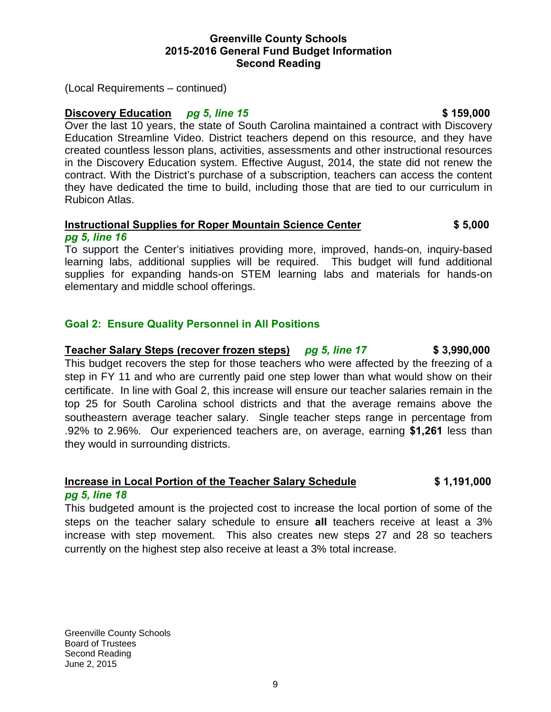(Local Requirements – continued)

# **Discovery Education** *pg 5, line 15 pg 159,000* **\$ 159,000**

Over the last 10 years, the state of South Carolina maintained a contract with Discovery Education Streamline Video. District teachers depend on this resource, and they have created countless lesson plans, activities, assessments and other instructional resources in the Discovery Education system. Effective August, 2014, the state did not renew the contract. With the District's purchase of a subscription, teachers can access the content they have dedicated the time to build, including those that are tied to our curriculum in Rubicon Atlas.

#### **Instructional Supplies for Roper Mountain Science Center \$ 5,000**  *pg 5, line 16*

To support the Center's initiatives providing more, improved, hands-on, inquiry-based learning labs, additional supplies will be required. This budget will fund additional supplies for expanding hands-on STEM learning labs and materials for hands-on elementary and middle school offerings.

# **Goal 2: Ensure Quality Personnel in All Positions**

# **Teacher Salary Steps (recover frozen steps)** *pg 5, line 17* **\$ 3,990,000**

This budget recovers the step for those teachers who were affected by the freezing of a step in FY 11 and who are currently paid one step lower than what would show on their certificate. In line with Goal 2, this increase will ensure our teacher salaries remain in the top 25 for South Carolina school districts and that the average remains above the southeastern average teacher salary. Single teacher steps range in percentage from .92% to 2.96%. Our experienced teachers are, on average, earning **\$1,261** less than they would in surrounding districts.

# **Increase in Local Portion of the Teacher Salary Schedule \$ 1,191,000**

#### *pg 5, line 18*

This budgeted amount is the projected cost to increase the local portion of some of the steps on the teacher salary schedule to ensure **all** teachers receive at least a 3% increase with step movement. This also creates new steps 27 and 28 so teachers currently on the highest step also receive at least a 3% total increase.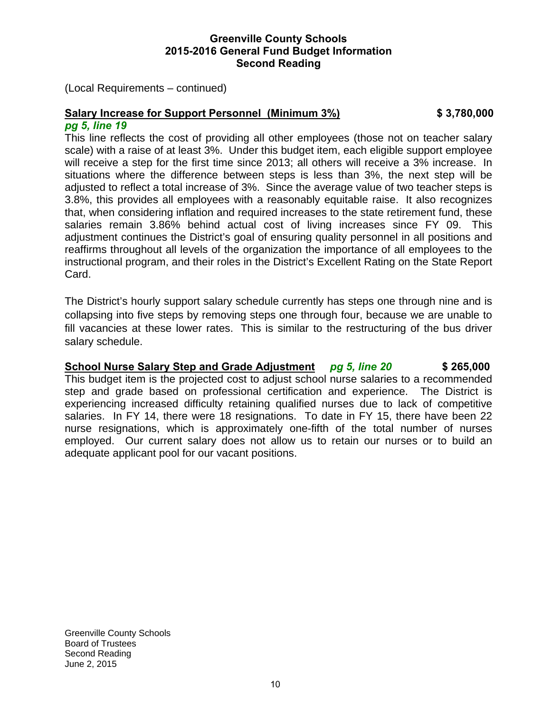(Local Requirements – continued)

# **Salary Increase for Support Personnel (Minimum 3%) \$ 3,780,000**

### *pg 5, line 19*

This line reflects the cost of providing all other employees (those not on teacher salary scale) with a raise of at least 3%. Under this budget item, each eligible support employee will receive a step for the first time since 2013; all others will receive a 3% increase. In situations where the difference between steps is less than 3%, the next step will be adjusted to reflect a total increase of 3%. Since the average value of two teacher steps is 3.8%, this provides all employees with a reasonably equitable raise. It also recognizes that, when considering inflation and required increases to the state retirement fund, these salaries remain 3.86% behind actual cost of living increases since FY 09. This adjustment continues the District's goal of ensuring quality personnel in all positions and reaffirms throughout all levels of the organization the importance of all employees to the instructional program, and their roles in the District's Excellent Rating on the State Report Card.

The District's hourly support salary schedule currently has steps one through nine and is collapsing into five steps by removing steps one through four, because we are unable to fill vacancies at these lower rates. This is similar to the restructuring of the bus driver salary schedule.

**School Nurse Salary Step and Grade Adjustment** *pg 5, line 20* **\$ 265,000**  This budget item is the projected cost to adjust school nurse salaries to a recommended step and grade based on professional certification and experience. The District is experiencing increased difficulty retaining qualified nurses due to lack of competitive salaries. In FY 14, there were 18 resignations. To date in FY 15, there have been 22 nurse resignations, which is approximately one-fifth of the total number of nurses employed. Our current salary does not allow us to retain our nurses or to build an adequate applicant pool for our vacant positions.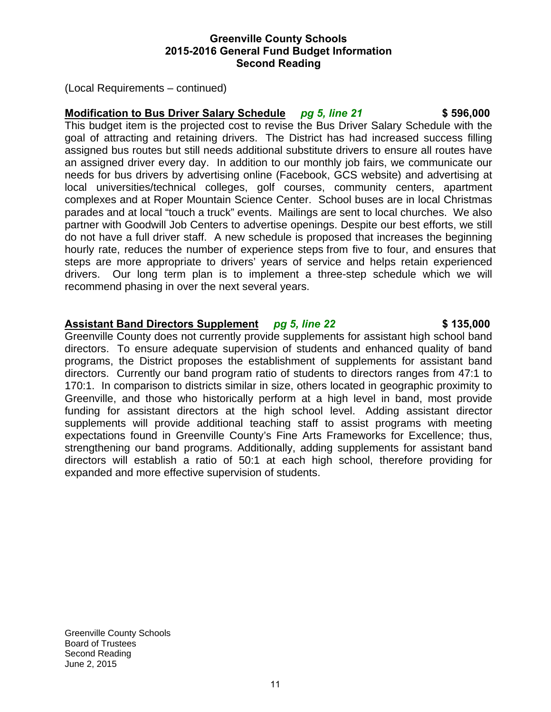(Local Requirements – continued)

# **Modification to Bus Driver Salary Schedule** *pg 5, line 21* **\$ 596,000**

This budget item is the projected cost to revise the Bus Driver Salary Schedule with the goal of attracting and retaining drivers. The District has had increased success filling assigned bus routes but still needs additional substitute drivers to ensure all routes have an assigned driver every day. In addition to our monthly job fairs, we communicate our needs for bus drivers by advertising online (Facebook, GCS website) and advertising at local universities/technical colleges, golf courses, community centers, apartment complexes and at Roper Mountain Science Center. School buses are in local Christmas parades and at local "touch a truck" events. Mailings are sent to local churches. We also partner with Goodwill Job Centers to advertise openings. Despite our best efforts, we still do not have a full driver staff. A new schedule is proposed that increases the beginning hourly rate, reduces the number of experience steps from five to four, and ensures that steps are more appropriate to drivers' years of service and helps retain experienced drivers. Our long term plan is to implement a three-step schedule which we will recommend phasing in over the next several years.

# **Assistant Band Directors Supplement** *pg 5, line 22* **\$ 135,000**

Greenville County does not currently provide supplements for assistant high school band directors. To ensure adequate supervision of students and enhanced quality of band programs, the District proposes the establishment of supplements for assistant band directors. Currently our band program ratio of students to directors ranges from 47:1 to 170:1. In comparison to districts similar in size, others located in geographic proximity to Greenville, and those who historically perform at a high level in band, most provide funding for assistant directors at the high school level. Adding assistant director supplements will provide additional teaching staff to assist programs with meeting expectations found in Greenville County's Fine Arts Frameworks for Excellence; thus, strengthening our band programs. Additionally, adding supplements for assistant band directors will establish a ratio of 50:1 at each high school, therefore providing for expanded and more effective supervision of students.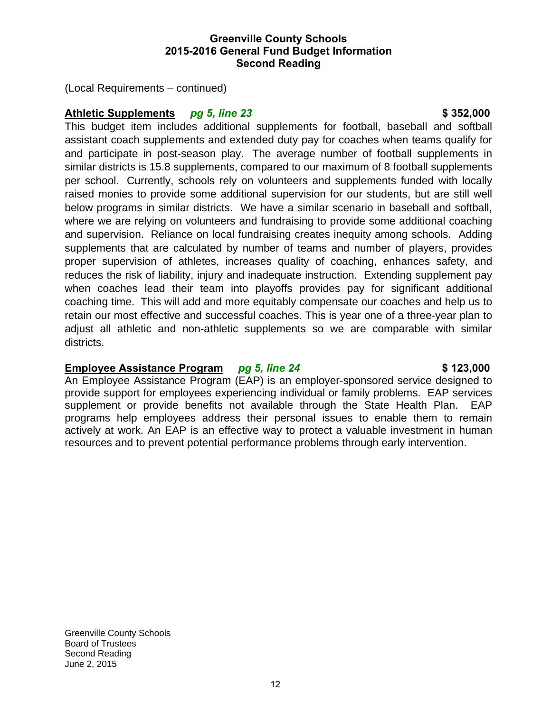(Local Requirements – continued)

# **Athletic Supplements** *pg 5, line 23* **\$ 352,000**

This budget item includes additional supplements for football, baseball and softball assistant coach supplements and extended duty pay for coaches when teams qualify for and participate in post-season play. The average number of football supplements in similar districts is 15.8 supplements, compared to our maximum of 8 football supplements per school. Currently, schools rely on volunteers and supplements funded with locally raised monies to provide some additional supervision for our students, but are still well below programs in similar districts. We have a similar scenario in baseball and softball, where we are relying on volunteers and fundraising to provide some additional coaching and supervision. Reliance on local fundraising creates inequity among schools. Adding supplements that are calculated by number of teams and number of players, provides proper supervision of athletes, increases quality of coaching, enhances safety, and reduces the risk of liability, injury and inadequate instruction. Extending supplement pay when coaches lead their team into playoffs provides pay for significant additional coaching time. This will add and more equitably compensate our coaches and help us to retain our most effective and successful coaches. This is year one of a three-year plan to adjust all athletic and non-athletic supplements so we are comparable with similar districts.

# **Employee Assistance Program** *pg 5, line 24* **\$ 123,000**

An Employee Assistance Program (EAP) is an employer-sponsored service designed to provide support for employees experiencing individual or family problems. EAP services supplement or provide benefits not available through the State Health Plan. EAP programs help employees address their personal issues to enable them to remain actively at work. An EAP is an effective way to protect a valuable investment in human resources and to prevent potential performance problems through early intervention.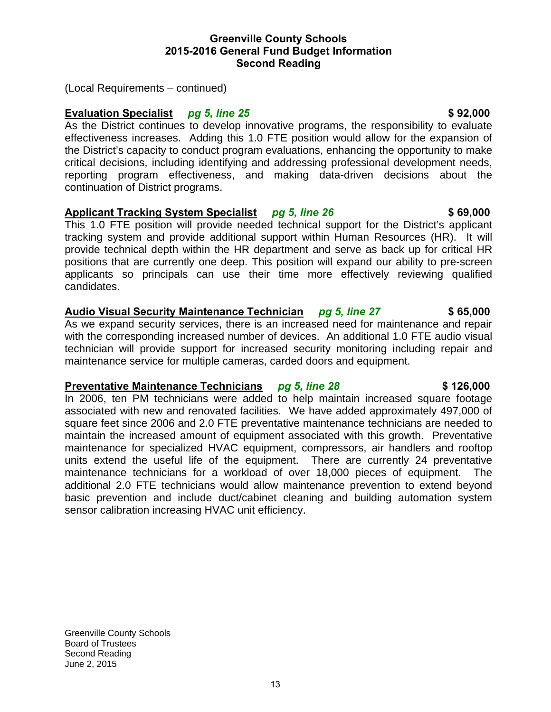(Local Requirements – continued)

# **Evaluation Specialist** *pg 5, line 25 pg 1.000 <b>\$ 92,000 \$ 92,000*

As the District continues to develop innovative programs, the responsibility to evaluate effectiveness increases. Adding this 1.0 FTE position would allow for the expansion of the District's capacity to conduct program evaluations, enhancing the opportunity to make critical decisions, including identifying and addressing professional development needs, reporting program effectiveness, and making data-driven decisions about the continuation of District programs.

# **Applicant Tracking System Specialist** *pg 5, line 26* **\$ 69,000**

This 1.0 FTE position will provide needed technical support for the District's applicant tracking system and provide additional support within Human Resources (HR). It will provide technical depth within the HR department and serve as back up for critical HR positions that are currently one deep. This position will expand our ability to pre-screen applicants so principals can use their time more effectively reviewing qualified candidates.

# **Audio Visual Security Maintenance Technician** *pg 5, line 27* **\$ 65,000**

As we expand security services, there is an increased need for maintenance and repair with the corresponding increased number of devices. An additional 1.0 FTE audio visual technician will provide support for increased security monitoring including repair and maintenance service for multiple cameras, carded doors and equipment.

# **Preventative Maintenance Technicians** *pg 5, line 28* **\$126,000**

In 2006, ten PM technicians were added to help maintain increased square footage associated with new and renovated facilities. We have added approximately 497,000 of square feet since 2006 and 2.0 FTE preventative maintenance technicians are needed to maintain the increased amount of equipment associated with this growth. Preventative maintenance for specialized HVAC equipment, compressors, air handlers and rooftop units extend the useful life of the equipment. There are currently 24 preventative maintenance technicians for a workload of over 18,000 pieces of equipment. The additional 2.0 FTE technicians would allow maintenance prevention to extend beyond basic prevention and include duct/cabinet cleaning and building automation system sensor calibration increasing HVAC unit efficiency.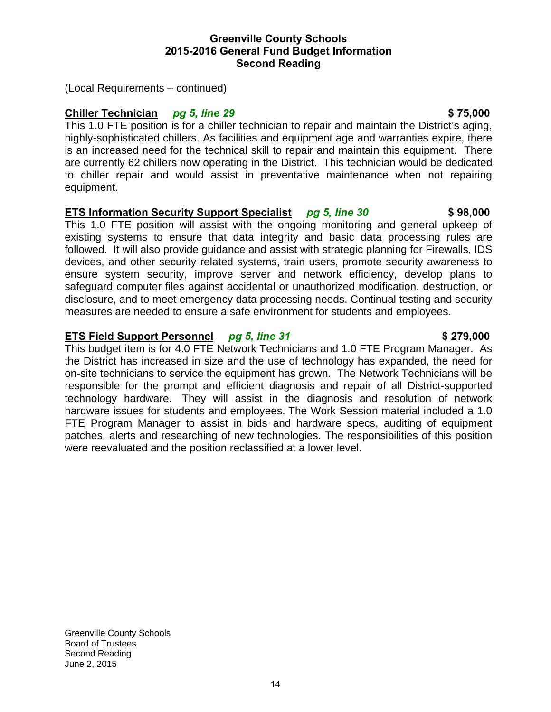(Local Requirements – continued)

# **Chiller Technician** *pg 5, line 29* **\$ 75,000**

This 1.0 FTE position is for a chiller technician to repair and maintain the District's aging, highly-sophisticated chillers. As facilities and equipment age and warranties expire, there is an increased need for the technical skill to repair and maintain this equipment. There are currently 62 chillers now operating in the District. This technician would be dedicated to chiller repair and would assist in preventative maintenance when not repairing equipment.

# **ETS Information Security Support Specialist** *pg 5, line 30* **\$ 98,000**

This 1.0 FTE position will assist with the ongoing monitoring and general upkeep of existing systems to ensure that data integrity and basic data processing rules are followed. It will also provide guidance and assist with strategic planning for Firewalls, IDS devices, and other security related systems, train users, promote security awareness to ensure system security, improve server and network efficiency, develop plans to safeguard computer files against accidental or unauthorized modification, destruction, or disclosure, and to meet emergency data processing needs. Continual testing and security measures are needed to ensure a safe environment for students and employees.

# **ETS Field Support Personnel** *pg 5, line 31* **\$279,000**

This budget item is for 4.0 FTE Network Technicians and 1.0 FTE Program Manager. As the District has increased in size and the use of technology has expanded, the need for on-site technicians to service the equipment has grown. The Network Technicians will be responsible for the prompt and efficient diagnosis and repair of all District-supported technology hardware. They will assist in the diagnosis and resolution of network hardware issues for students and employees. The Work Session material included a 1.0 FTE Program Manager to assist in bids and hardware specs, auditing of equipment patches, alerts and researching of new technologies. The responsibilities of this position were reevaluated and the position reclassified at a lower level.